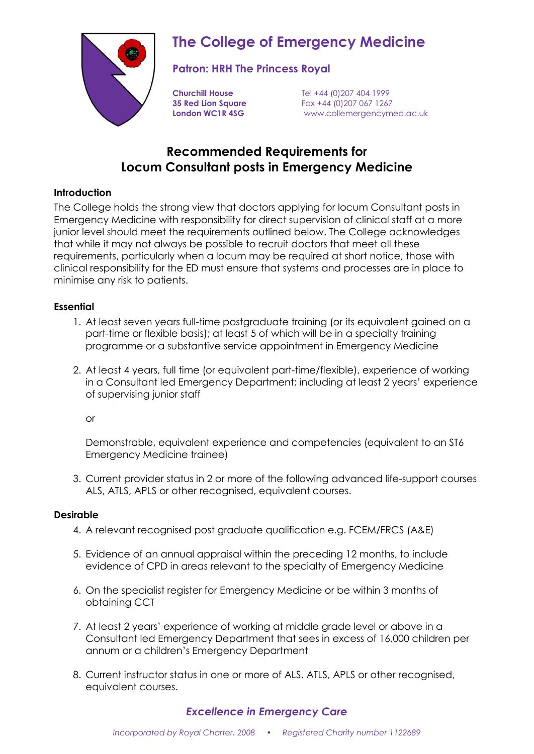

# **The College of Emergency Medicine**

## **Patron: HRH The Princess Royal**

**Churchill House** Tel +44 (0)207 404 1999 **35 Red Lion Square** Fax +44 (0)207 067 1267 **London WC1R 4SG** www.collemergencymed.ac.uk

# **Recommended Requirements for Locum Consultant posts in Emergency Medicine**

#### **Introduction**

The College holds the strong view that doctors applying for locum Consultant posts in Emergency Medicine with responsibility for direct supervision of clinical staff at a more junior level should meet the requirements outlined below. The College acknowledges that while it may not always be possible to recruit doctors that meet all these requirements, particularly when a locum may be required at short notice, those with clinical responsibility for the ED must ensure that systems and processes are in place to minimise any risk to patients.

#### **Essential**

- 1. At least seven years full-time postgraduate training (or its equivalent gained on a part-time or flexible basis); at least 5 of which will be in a specialty training programme or a substantive service appointment in Emergency Medicine
- 2. At least 4 years, full time (or equivalent part-time/flexible), experience of working in a Consultant led Emergency Department; including at least 2 years' experience of supervising junior staff

or

Demonstrable, equivalent experience and competencies (equivalent to an ST6 Emergency Medicine trainee)

3. Current provider status in 2 or more of the following advanced life-support courses ALS, ATLS, APLS or other recognised, equivalent courses.

#### **Desirable**

- 4. A relevant recognised post graduate qualification e.g. FCEM/FRCS (A&E)
- 5. Evidence of an annual appraisal within the preceding 12 months, to include evidence of CPD in areas relevant to the specialty of Emergency Medicine
- 6. On the specialist register for Emergency Medicine or be within 3 months of obtaining CCT
- 7. At least 2 years' experience of working at middle grade level or above in a Consultant led Emergency Department that sees in excess of 16,000 children per annum or a children's Emergency Department
- 8. Current instructor status in one or more of ALS, ATLS, APLS or other recognised, equivalent courses.

### *Excellence in Emergency Care*